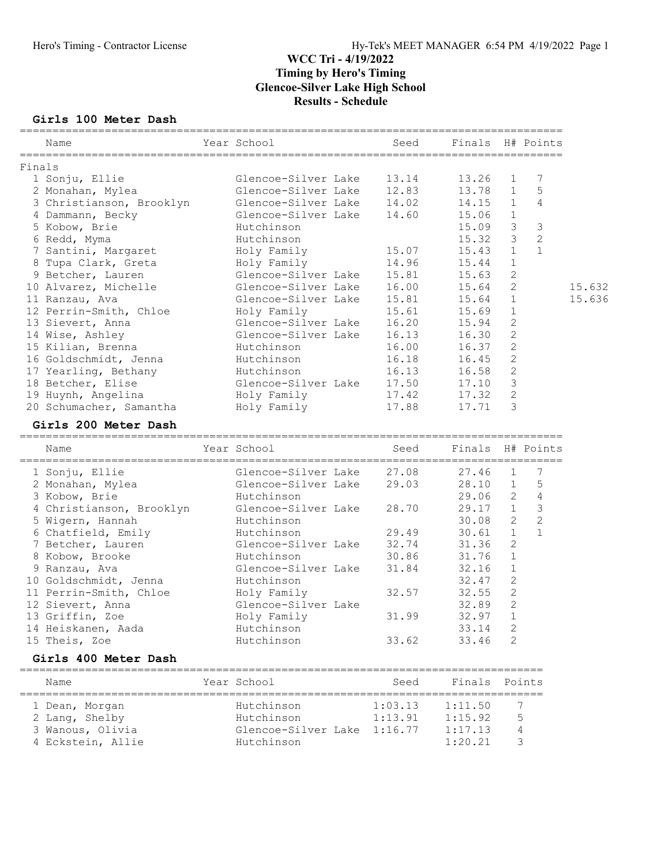#### Girls 100 Meter Dash

|        | Name                     | =============<br>Year School | Seed    | Finals H# Points |                |                |        |
|--------|--------------------------|------------------------------|---------|------------------|----------------|----------------|--------|
| Finals |                          |                              |         |                  |                |                |        |
|        | 1 Sonju, Ellie           | Glencoe-Silver Lake          | 13.14   | 13.26            | 1              | 7              |        |
|        | 2 Monahan, Mylea         | Glencoe-Silver Lake          | 12.83   | 13.78            | $\mathbf{1}$   | 5              |        |
|        | 3 Christianson, Brooklyn | Glencoe-Silver Lake          | 14.02   | 14.15            | $\mathbf{1}$   | 4              |        |
|        | 4 Dammann, Becky         | Glencoe-Silver Lake          | 14.60   | 15.06            | $\mathbf{1}$   |                |        |
|        | 5 Kobow, Brie            | Hutchinson                   |         | 15.09            | 3              | 3              |        |
|        | 6 Redd, Myma             | Hutchinson                   |         | 15.32            | $\mathcal{S}$  | $\overline{c}$ |        |
|        | 7 Santini, Margaret      | Holy Family                  | 15.07   | 15.43            | $\mathbf{1}$   | $\mathbf{1}$   |        |
|        | 8 Tupa Clark, Greta      | Holy Family                  | 14.96   | 15.44            | $\mathbf{1}$   |                |        |
|        | 9 Betcher, Lauren        | Glencoe-Silver Lake          | 15.81   | 15.63            | 2              |                |        |
|        | 10 Alvarez, Michelle     | Glencoe-Silver Lake          | 16.00   | 15.64            | 2              |                | 15.632 |
|        | 11 Ranzau, Ava           | Glencoe-Silver Lake          | 15.81   | 15.64            | $\mathbf{1}$   |                | 15.636 |
|        | 12 Perrin-Smith, Chloe   | Holy Family                  | 15.61   | 15.69            | $\mathbf{1}$   |                |        |
|        | 13 Sievert, Anna         | Glencoe-Silver Lake          | 16.20   | 15.94            | $\mathbf{2}$   |                |        |
|        | 14 Wise, Ashley          | Glencoe-Silver Lake          | 16.13   | 16.30            | $\sqrt{2}$     |                |        |
|        | 15 Kilian, Brenna        | Hutchinson                   | 16.00   | 16.37            | $\mathbf{2}$   |                |        |
|        | 16 Goldschmidt, Jenna    | Hutchinson                   | 16.18   | 16.45            | $\mathbf{2}$   |                |        |
|        | 17 Yearling, Bethany     | Hutchinson                   | 16.13   | 16.58            | 2              |                |        |
|        | 18 Betcher, Elise        | Glencoe-Silver Lake          | 17.50   | 17.10            | $\mathcal{S}$  |                |        |
|        | 19 Huynh, Angelina       | Holy Family                  | 17.42   | 17.32            | $\mathbf{2}$   |                |        |
|        | 20 Schumacher, Samantha  | Holy Family                  | 17.88   | 17.71            | 3              |                |        |
|        | Girls 200 Meter Dash     |                              |         |                  |                |                |        |
|        | Name                     | Year School                  | Seed    | Finals H# Points |                |                |        |
|        | 1 Sonju, Ellie           | Glencoe-Silver Lake          | 27.08   | 27.46            | $\mathbf{1}$   | 7              |        |
|        | 2 Monahan, Mylea         | Glencoe-Silver Lake          | 29.03   | 28.10            | 1              | 5              |        |
|        | 3 Kobow, Brie            | Hutchinson                   |         | 29.06            | $\overline{2}$ | $\overline{4}$ |        |
|        | 4 Christianson, Brooklyn | Glencoe-Silver Lake          | 28.70   | 29.17            | 1              | $\mathfrak{Z}$ |        |
|        | 5 Wigern, Hannah         | Hutchinson                   |         | 30.08            | $\mathbf{2}$   | $\overline{c}$ |        |
|        | 6 Chatfield, Emily       | Hutchinson                   | 29.49   | 30.61            | $\mathbf{1}$   | $\mathbf{1}$   |        |
|        | 7 Betcher, Lauren        | Glencoe-Silver Lake          | 32.74   | 31.36            | 2              |                |        |
|        | 8 Kobow, Brooke          | Hutchinson                   | 30.86   | 31.76            | 1              |                |        |
|        | 9 Ranzau, Ava            | Glencoe-Silver Lake          | 31.84   | 32.16            | $\mathbf{1}$   |                |        |
|        | 10 Goldschmidt, Jenna    | Hutchinson                   |         | 32.47            | 2              |                |        |
|        | 11 Perrin-Smith, Chloe   | Holy Family                  | 32.57   | 32.55            | 2              |                |        |
|        | 12 Sievert, Anna         | Glencoe-Silver Lake          |         | 32.89            | $\mathbf{2}$   |                |        |
|        | 13 Griffin, Zoe          | Holy Family                  | 31.99   | $32.97$ 1        |                |                |        |
|        | 14 Heiskanen, Aada       | Hutchinson                   |         | 33.14            | 2              |                |        |
|        | 15 Theis, Zoe            | Hutchinson                   | 33.62   | 33.46            | 2              |                |        |
|        | Girls 400 Meter Dash     |                              |         |                  |                |                |        |
|        | Name                     | Year School                  | Seed    | Finals           |                | Points         |        |
|        |                          |                              |         |                  |                |                |        |
|        | 1 Dean, Morgan           | Hutchinson                   | 1:03.13 | 1:11.50          |                | 7              |        |
|        | 2 Lang, Shelby           | Hutchinson                   | 1:13.91 | 1:15.92          |                | 5              |        |
|        | 3 Wanous, Olivia         | Glencoe-Silver Lake 1:16.77  |         | 1:17.13          | 4              |                |        |
|        | 4 Eckstein, Allie        | Hutchinson                   |         | 1:20.21          |                | 3              |        |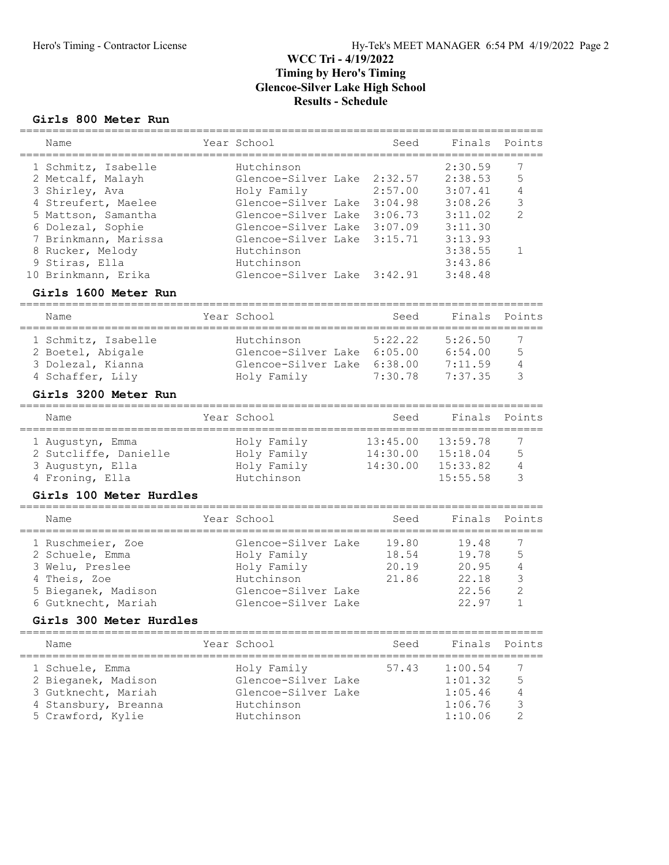#### Girls 800 Meter Run

| Name                 | Year School                 | Seed    | Finals Points |               |
|----------------------|-----------------------------|---------|---------------|---------------|
| 1 Schmitz, Isabelle  | Hutchinson                  |         | 2:30.59       |               |
| 2 Metcalf, Malayh    | Glencoe-Silver Lake         | 2:32.57 | 2:38.53       | 5             |
| 3 Shirley, Ava       | Holy Family                 | 2:57.00 | 3:07.41       | 4             |
| 4 Streufert, Maelee  | Glencoe-Silver Lake         | 3:04.98 | 3:08.26       | 3             |
| 5 Mattson, Samantha  | Glencoe-Silver Lake         | 3:06.73 | 3:11.02       | $\mathcal{L}$ |
| 6 Dolezal, Sophie    | Glencoe-Silver Lake         | 3:07.09 | 3:11.30       |               |
| 7 Brinkmann, Marissa | Glencoe-Silver Lake 3:15.71 |         | 3:13.93       |               |
| 8 Rucker, Melody     | Hutchinson                  |         | 3:38.55       |               |
| 9 Stiras, Ella       | Hutchinson                  |         | 3:43.86       |               |
| 10 Brinkmann, Erika  | Glencoe-Silver Lake 3:42.91 |         | 3:48.48       |               |

### Girls 1600 Meter Run

| Name                | Year School                 | Seed    | Finals Points |   |
|---------------------|-----------------------------|---------|---------------|---|
| 1 Schmitz, Isabelle | Hutchinson                  | 5:22.22 | 5:26.50       | 7 |
| 2 Boetel, Abigale   | Glencoe-Silver Lake 6:05.00 |         | 6:54.00       | 5 |
| 3 Dolezal, Kianna   | Glencoe-Silver Lake 6:38.00 | 7:30.78 | 7:11.59       | 4 |
| 4 Schaffer, Lily    | Holy Family                 |         | 7:37.35       | ₹ |

### Girls 3200 Meter Run

| Name                  | Year School | Seed     | Finals Points |   |
|-----------------------|-------------|----------|---------------|---|
| 1 Augustyn, Emma      | Holy Family | 13:45.00 | 13:59.78      |   |
| 2 Sutcliffe, Danielle | Holy Family | 14:30.00 | 15:18.04      | 5 |
| 3 Augustyn, Ella      | Holy Family | 14:30.00 | 15:33.82      |   |
| 4 Froning, Ella       | Hutchinson  |          | 15:55.58      |   |

#### Girls 100 Meter Hurdles

| Name                | Year School         | Seed  | Finals Points |               |
|---------------------|---------------------|-------|---------------|---------------|
| 1 Ruschmeier, Zoe   | Glencoe-Silver Lake | 19.80 | 19.48         |               |
| 2 Schuele, Emma     | Holy Family         | 18.54 | 19.78         | .5            |
| 3 Welu, Preslee     | Holy Family         | 20.19 | 20.95         | 4             |
| 4 Theis, Zoe        | Hutchinson          | 21.86 | 22.18         | 3             |
| 5 Bieganek, Madison | Glencoe-Silver Lake |       | 22.56         | $\mathcal{P}$ |
| 6 Gutknecht, Mariah | Glencoe-Silver Lake |       | 22.97         |               |

### Girls 300 Meter Hurdles

| Name                                                                                                       | Year School                                                                           | Seed  | Finals Points                                       |   |
|------------------------------------------------------------------------------------------------------------|---------------------------------------------------------------------------------------|-------|-----------------------------------------------------|---|
| 1 Schuele, Emma<br>2 Bieganek, Madison<br>3 Gutknecht, Mariah<br>4 Stansbury, Breanna<br>5 Crawford, Kylie | Holy Family<br>Glencoe-Silver Lake<br>Glencoe-Silver Lake<br>Hutchinson<br>Hutchinson | 57.43 | 1:00.54<br>1:01.32<br>1:05.46<br>1:06.76<br>1:10.06 | 5 |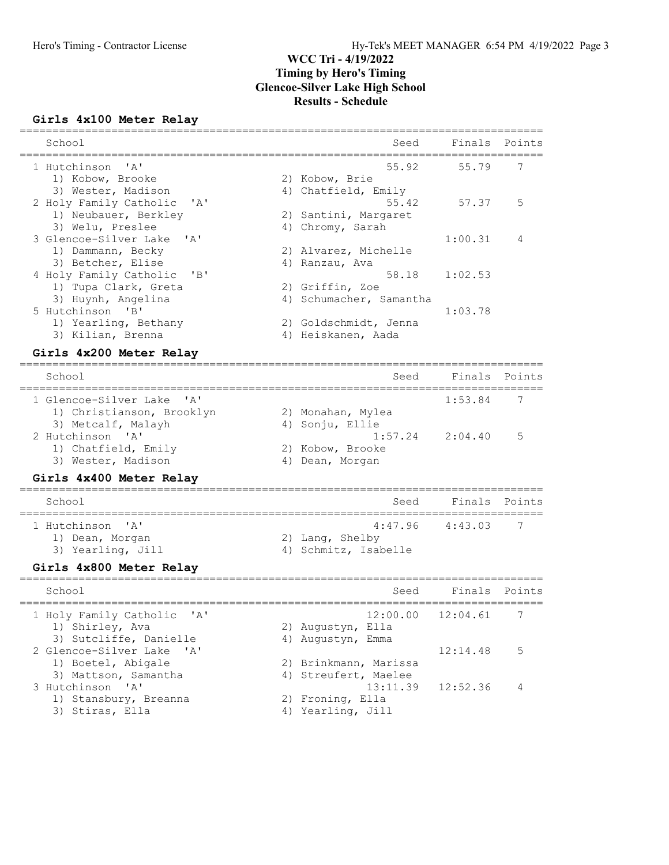# Girls 4x100 Meter Relay

| School                                                                                                        |    | Seed                                                                      | Finals   | Points |
|---------------------------------------------------------------------------------------------------------------|----|---------------------------------------------------------------------------|----------|--------|
| 1 Hutchinson<br>' a '<br>1) Kobow, Brooke                                                                     |    | 55.92<br>2) Kobow, Brie                                                   | 55.79    | 7      |
| 3) Wester, Madison<br>2 Holy Family Catholic<br>' A'                                                          |    | 4) Chatfield, Emily<br>55.42                                              | 57.37    | 5      |
| 1) Neubauer, Berkley<br>3) Welu, Preslee                                                                      |    | 2) Santini, Margaret<br>4) Chromy, Sarah                                  |          |        |
| 3 Glencoe-Silver Lake<br>' A'<br>1) Dammann, Becky<br>3) Betcher, Elise                                       |    | 2) Alvarez, Michelle<br>4) Ranzau, Ava                                    | 1:00.31  | 4      |
| 4 Holy Family Catholic<br>"B"<br>1) Tupa Clark, Greta                                                         |    | 58.18<br>2) Griffin, Zoe                                                  | 1:02.53  |        |
| 3) Huynh, Angelina<br>5 Hutchinson 'B'                                                                        |    | 4) Schumacher, Samantha                                                   | 1:03.78  |        |
| 1) Yearling, Bethany<br>3) Kilian, Brenna                                                                     |    | 2) Goldschmidt, Jenna<br>4) Heiskanen, Aada                               |          |        |
| Girls 4x200 Meter Relay                                                                                       |    |                                                                           |          |        |
| School                                                                                                        |    | Seed                                                                      | Finals   | Points |
| 1 Glencoe-Silver Lake<br>' A'<br>1) Christianson, Brooklyn<br>3) Metcalf, Malayh                              | 4) | 2) Monahan, Mylea<br>Sonju, Ellie                                         | 1:53.84  | 7      |
| 2 Hutchinson 'A'<br>1) Chatfield, Emily<br>3) Wester, Madison                                                 |    | 1:57.24<br>2) Kobow, Brooke<br>4) Dean, Morgan                            | 2:04.40  | 5      |
| Girls 4x400 Meter Relay                                                                                       |    |                                                                           |          |        |
| School                                                                                                        |    | Seed                                                                      | Finals   | Points |
| 1 Hutchinson<br>$\mathsf{A}$<br>1) Dean, Morgan                                                               |    | 4:47.96<br>2) Lang, Shelby                                                | 4:43.03  | 7      |
| 3) Yearling, Jill                                                                                             |    | 4) Schmitz, Isabelle                                                      |          |        |
| Girls 4x800 Meter Relay<br>==============================<br>School                                           |    | Seed                                                                      | Finals   | Points |
| 1 Holy Family Catholic<br>$^{\prime}$ A $^{\prime}$                                                           |    | 12:00.00                                                                  | 12:04.61 | 7      |
| 1) Shirley, Ava<br>3) Sutcliffe, Danielle                                                                     |    | 2) Augustyn, Ella<br>4) Augustyn, Emma                                    |          |        |
| 2 Glencoe-Silver Lake<br>$^{\prime}$ A $^{\prime}$<br>1) Boetel, Abigale                                      |    | 2) Brinkmann, Marissa                                                     | 12:14.48 | 5      |
| 3) Mattson, Samantha<br>3 Hutchinson<br>$^{\prime}$ A $^{\prime}$<br>1) Stansbury, Breanna<br>3) Stiras, Ella |    | 4) Streufert, Maelee<br>13:11.39<br>2) Froning, Ella<br>4) Yearling, Jill | 12:52.36 | 4      |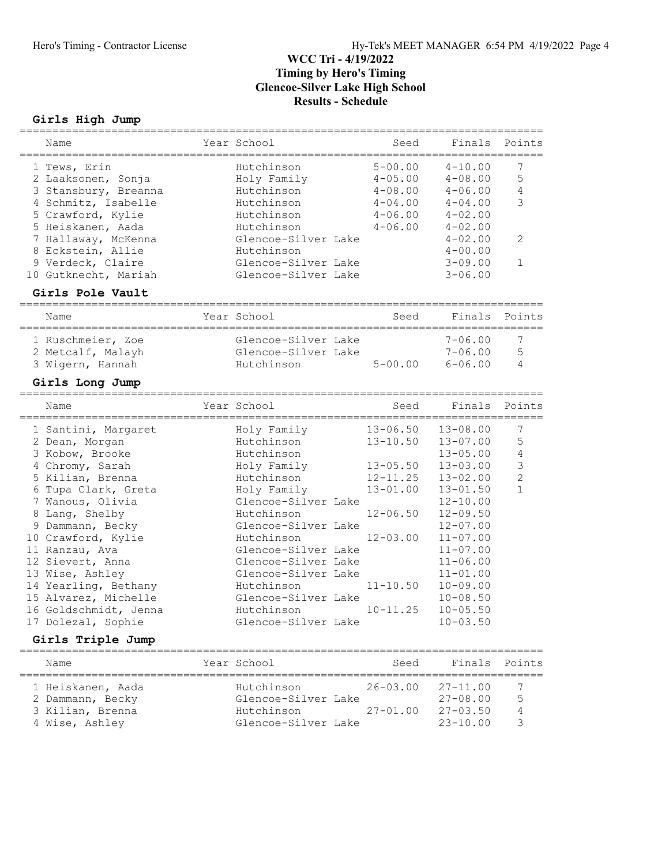# Girls High Jump

|   | Name                                    | Year School         | Seed         | Finals       | Points         |
|---|-----------------------------------------|---------------------|--------------|--------------|----------------|
|   | 1 Tews, Erin                            | Hutchinson          | $5 - 00.00$  | $4 - 10.00$  | 7              |
|   | 2 Laaksonen, Sonja                      | Holy Family         | $4 - 05.00$  | $4 - 08.00$  | 5              |
|   | 3 Stansbury, Breanna                    | Hutchinson          | $4 - 08.00$  | $4 - 06.00$  | $\overline{4}$ |
|   | 4 Schmitz, Isabelle                     | Hutchinson          | $4 - 04.00$  | $4 - 04.00$  | 3              |
|   | 5 Crawford, Kylie                       | Hutchinson          | $4 - 06.00$  | $4 - 02.00$  |                |
|   | 5 Heiskanen, Aada                       | Hutchinson          | $4 - 06.00$  | $4 - 02.00$  |                |
|   | 7 Hallaway, McKenna                     | Glencoe-Silver Lake |              | $4 - 02.00$  | 2              |
|   | 8 Eckstein, Allie                       | Hutchinson          |              | $4 - 00.00$  |                |
|   | 9 Verdeck, Claire                       | Glencoe-Silver Lake |              | $3 - 09.00$  | $\mathbf 1$    |
|   | 10 Gutknecht, Mariah                    | Glencoe-Silver Lake |              | $3 - 06.00$  |                |
|   | Girls Pole Vault<br>==================  |                     |              |              |                |
|   | Name                                    | Year School         | Seed         | Finals       | Points         |
|   | 1 Ruschmeier, Zoe                       | Glencoe-Silver Lake |              | $7 - 06.00$  | 7              |
|   | 2 Metcalf, Malayh                       | Glencoe-Silver Lake |              | $7 - 06.00$  | 5              |
|   | 3 Wigern, Hannah                        | Hutchinson          | $5 - 00.00$  | $6 - 06.00$  | 4              |
|   |                                         |                     |              |              |                |
|   | Girls Long Jump                         |                     |              |              |                |
|   | Name                                    | Year School         | Seed         | Finals       | Points         |
|   | 1 Santini, Margaret                     | Holy Family         | $13 - 06.50$ | $13 - 08.00$ | 7              |
|   | 2 Dean, Morgan                          | Hutchinson          | $13 - 10.50$ | $13 - 07.00$ | 5              |
|   | 3 Kobow, Brooke                         | Hutchinson          |              | $13 - 05.00$ | $\overline{4}$ |
|   | 4 Chromy, Sarah                         | Holy Family         | $13 - 05.50$ | $13 - 03.00$ | $\mathsf 3$    |
|   | 5 Kilian, Brenna                        | Hutchinson          | $12 - 11.25$ | $13 - 02.00$ | $\overline{2}$ |
| 6 | Tupa Clark, Greta                       | Holy Family         | $13 - 01.00$ | $13 - 01.50$ | $\mathbf{1}$   |
|   | 7 Wanous, Olivia                        | Glencoe-Silver Lake |              | $12 - 10.00$ |                |
|   | 8 Lang, Shelby                          | Hutchinson          | $12 - 06.50$ | $12 - 09.50$ |                |
|   | 9 Dammann, Becky                        | Glencoe-Silver Lake |              | $12 - 07.00$ |                |
|   | 10 Crawford, Kylie                      | Hutchinson          | $12 - 03.00$ | $11 - 07.00$ |                |
|   | 11 Ranzau, Ava                          | Glencoe-Silver Lake |              | $11 - 07.00$ |                |
|   | 12 Sievert, Anna                        | Glencoe-Silver Lake |              | $11 - 06.00$ |                |
|   | 13 Wise, Ashley                         | Glencoe-Silver Lake |              | $11 - 01.00$ |                |
|   | 14 Yearling, Bethany                    | Hutchinson          | $11 - 10.50$ | $10 - 09.00$ |                |
|   | 15 Alvarez, Michelle                    | Glencoe-Silver Lake |              | $10 - 08.50$ |                |
|   | 16 Goldschmidt, Jenna                   | Hutchinson          | $10 - 11.25$ | $10 - 05.50$ |                |
|   | 17 Dolezal, Sophie                      | Glencoe-Silver Lake |              | $10 - 03.50$ |                |
|   | Girls Triple Jump<br>================== |                     |              |              |                |
|   | Name                                    | Year School         | Seed         | Finals       | Points         |
|   | 1 Heiskanen, Aada                       | Hutchinson          | $26 - 03.00$ | $27 - 11.00$ | 7              |
|   | 2 Dammann, Becky                        | Glencoe-Silver Lake |              | $27 - 08.00$ | 5              |
|   | 3 Kilian, Brenna                        | Hutchinson          | $27 - 01.00$ | $27 - 03.50$ | 4              |
|   | 4 Wise, Ashley                          | Glencoe-Silver Lake |              | $23 - 10.00$ | 3              |
|   |                                         |                     |              |              |                |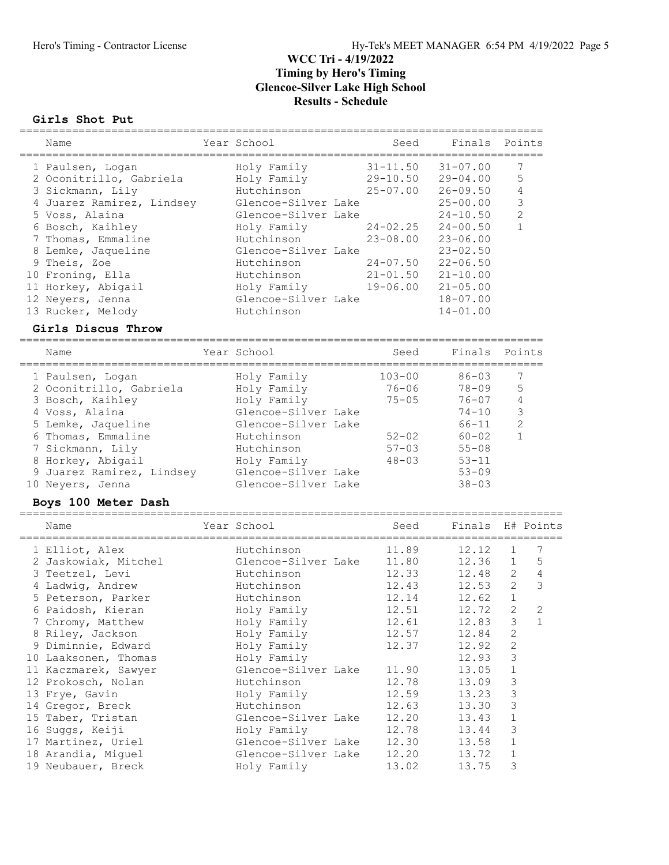#### Girls Shot Put

| Name                                  | Year School                       | Seed                      | Finals                       |                  | Points         |
|---------------------------------------|-----------------------------------|---------------------------|------------------------------|------------------|----------------|
|                                       |                                   |                           |                              |                  |                |
| 1 Paulsen, Logan                      | Holy Family                       | $31 - 11.50$              | $31 - 07.00$                 |                  | 7              |
| 2 Oconitrillo, Gabriela               | Holy Family                       | $29 - 10.50$              | $29 - 04.00$                 |                  | 5              |
| 3 Sickmann, Lily                      | Hutchinson                        | $25 - 07.00$              | $26 - 09.50$                 |                  | $\overline{4}$ |
| 4 Juarez Ramirez, Lindsey             | Glencoe-Silver Lake               |                           | $25 - 00.00$                 |                  | $\mathsf 3$    |
| 5 Voss, Alaina                        | Glencoe-Silver Lake               |                           | $24 - 10.50$                 |                  | $\mathbf{2}$   |
| 6 Bosch, Kaihley                      | Holy Family                       | $24 - 02.25$              | $24 - 00.50$                 |                  | $\mathbf{1}$   |
| 7 Thomas, Emmaline                    | Hutchinson                        | $23 - 08.00$              | $23 - 06.00$                 |                  |                |
| 8 Lemke, Jaqueline<br>9 Theis, Zoe    | Glencoe-Silver Lake<br>Hutchinson | $24 - 07.50$              | $23 - 02.50$<br>$22 - 06.50$ |                  |                |
| 10 Froning, Ella                      | Hutchinson                        | $21 - 01.50$              | $21 - 10.00$                 |                  |                |
| 11 Horkey, Abigail                    | Holy Family                       | 19-06.00                  | $21 - 05.00$                 |                  |                |
| 12 Neyers, Jenna                      | Glencoe-Silver Lake               |                           | $18 - 07.00$                 |                  |                |
| 13 Rucker, Melody                     | Hutchinson                        |                           | $14 - 01.00$                 |                  |                |
| Girls Discus Throw                    |                                   |                           |                              |                  |                |
|                                       |                                   | ------------------        |                              |                  |                |
| Name                                  | Year School                       | Seed                      | Finals                       |                  | Points         |
| 1 Paulsen, Logan                      | Holy Family                       | $103 - 00$                | $86 - 03$                    |                  | 7              |
| 2 Oconitrillo, Gabriela               | Holy Family                       | $76 - 06$                 | $78 - 09$                    |                  | 5              |
| 3 Bosch, Kaihley                      | Holy Family                       | $75 - 05$                 | $76 - 07$                    |                  | $\overline{4}$ |
| 4 Voss, Alaina                        | Glencoe-Silver Lake               |                           | $74 - 10$                    |                  | $\mathfrak{Z}$ |
| 5 Lemke, Jaqueline                    | Glencoe-Silver Lake               |                           | $66 - 11$                    |                  | $\mathbf{2}$   |
| 6 Thomas, Emmaline                    | Hutchinson                        | $52 - 02$                 | $60 - 02$                    |                  | $\mathbf{1}$   |
| 7 Sickmann, Lily                      | Hutchinson                        | $57 - 03$                 | $55 - 08$                    |                  |                |
| 8 Horkey, Abigail                     | Holy Family                       | $48 - 03$                 | $53 - 11$                    |                  |                |
| 9 Juarez Ramirez, Lindsey             | Glencoe-Silver Lake               |                           | $53 - 09$                    |                  |                |
| 10 Neyers, Jenna                      | Glencoe-Silver Lake               |                           | $38 - 03$                    |                  |                |
| Boys 100 Meter Dash                   |                                   | ------------------------- |                              |                  |                |
| Name                                  | Year School                       | Seed                      | Finals                       |                  | H# Points      |
| 1 Elliot, Alex                        | Hutchinson                        | 11.89                     | 12.12                        | 1                | 7              |
| 2 Jaskowiak, Mitchel                  | Glencoe-Silver Lake               | 11.80                     | 12.36                        | $\mathbf 1$      | 5              |
| 3 Teetzel, Levi                       | Hutchinson                        | 12.33                     | 12.48                        | $\mathbf{2}$     | $\sqrt{4}$     |
| 4 Ladwig, Andrew                      | Hutchinson                        | 12.43                     | 12.53                        | 2                | 3              |
| 5 Peterson, Parker                    | Hutchinson                        | 12.14                     | 12.62                        | $\mathbf{1}$     |                |
| 6 Paidosh, Kieran                     | Holy Family                       | 12.51                     | 12.72                        | $\overline{2}$   | $\overline{2}$ |
| 7 Chromy, Matthew                     | Holy Family                       | 12.61                     | 12.83                        | 3                | $\mathbf{1}$   |
| 8 Riley, Jackson                      | Holy Family                       | 12.57                     | 12.84                        | $\mathbf{2}$     |                |
| 9 Diminnie, Edward                    | Holy Family                       | 12.37                     | 12.92                        | $\mathbf{2}$     |                |
| 10 Laaksonen, Thomas                  | Holy Family                       |                           | 12.93                        | 3                |                |
| 11 Kaczmarek, Sawyer                  | Glencoe-Silver Lake               | 11.90                     | 13.05                        | $\mathbf 1$      |                |
| 12 Prokosch, Nolan                    | Hutchinson                        | 12.78                     | 13.09                        | 3                |                |
| 13 Frye, Gavin                        | Holy Family                       | 12.59                     | 13.23                        | $\mathsf 3$      |                |
| 14 Gregor, Breck<br>15 Taber, Tristan | Hutchinson<br>Glencoe-Silver Lake | 12.63                     | 13.30                        | $\mathsf 3$      |                |
| 16 Suggs, Keiji                       | Holy Family                       | 12.20<br>12.78            | 13.43<br>13.44               | $\mathbf 1$<br>3 |                |
| 17 Martinez, Uriel                    | Glencoe-Silver Lake               | 12.30                     | 13.58                        | $\mathbf 1$      |                |
| 18 Arandia, Miguel                    | Glencoe-Silver Lake               | 12.20                     | 13.72                        | $1\,$            |                |
| 19 Neubauer, Breck                    | Holy Family                       | 13.02                     | 13.75                        | 3                |                |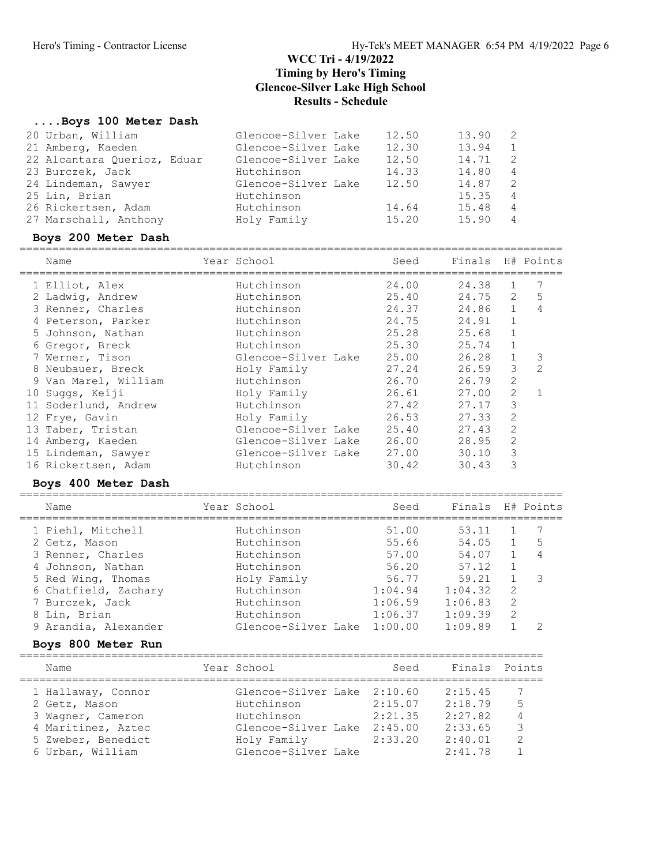### ....Boys 100 Meter Dash

### Boys 200 Meter Dash

| Name                 | Year School         | Seed  | Finals H# Points |                |   |
|----------------------|---------------------|-------|------------------|----------------|---|
| 1 Elliot, Alex       | Hutchinson          | 24.00 | 24.38            | $\mathbf{1}$   | 7 |
| 2 Ladwig, Andrew     | Hutchinson          | 25.40 | 24.75            | 2              | 5 |
| 3 Renner, Charles    | Hutchinson          | 24.37 | 24.86            | $\mathbf{1}$   | 4 |
| 4 Peterson, Parker   | Hutchinson          | 24.75 | 24.91            | $\mathbf{1}$   |   |
| 5 Johnson, Nathan    | Hutchinson          | 25.28 | 25.68            | $\mathbf{1}$   |   |
| 6 Gregor, Breck      | Hutchinson          | 25.30 | 25.74            | $\mathbf{1}$   |   |
| 7 Werner, Tison      | Glencoe-Silver Lake | 25.00 | 26.28            | $\mathbf{1}$   | 3 |
| 8 Neubauer, Breck    | Holy Family         | 27.24 | 26.59            | 3              | 2 |
| 9 Van Marel, William | Hutchinson          | 26.70 | 26.79            | $\overline{2}$ |   |
| 10 Suggs, Keiji      | Holy Family         | 26.61 | 27.00            | 2              |   |
| 11 Soderlund, Andrew | Hutchinson          | 27.42 | 27.17            | 3              |   |
| 12 Frye, Gavin       | Holy Family         | 26.53 | 27.33            | 2              |   |
| 13 Taber, Tristan    | Glencoe-Silver Lake | 25.40 | 27.43            | 2              |   |
| 14 Amberg, Kaeden    | Glencoe-Silver Lake | 26.00 | 28.95            | 2              |   |
| 15 Lindeman, Sawyer  | Glencoe-Silver Lake | 27.00 | 30.10            | 3              |   |
| 16 Rickertsen, Adam  | Hutchinson          | 30.42 | 30.43            | 3              |   |
| Boys 400 Meter Dash  |                     |       |                  |                |   |

| Name                 | Year School         | Seed    | Finals  |               | H# Points      |
|----------------------|---------------------|---------|---------|---------------|----------------|
| 1 Piehl, Mitchell    | Hutchinson          | 51.00   | 53.11   |               |                |
| 2 Getz, Mason        | Hutchinson          | 55.66   | 54.05   | $\mathbf{1}$  | .5             |
| 3 Renner, Charles    | Hutchinson          | 57.00   | 54.07   |               | $\overline{4}$ |
| 4 Johnson, Nathan    | Hutchinson          | 56.20   | 57.12   |               |                |
| 5 Red Wing, Thomas   | Holy Family         | 56.77   | 59.21   |               | - 3            |
| 6 Chatfield, Zachary | Hutchinson          | 1:04.94 | 1:04.32 | 2             |                |
| 7 Burczek, Jack      | Hutchinson          | 1:06.59 | 1:06.83 | 2             |                |
| 8 Lin, Brian         | Hutchinson          | 1:06.37 | 1:09.39 | $\mathcal{L}$ |                |
| 9 Arandia, Alexander | Glencoe-Silver Lake | 1:00.00 | 1:09.89 |               | っ              |
|                      |                     |         |         |               |                |

### Boys 800 Meter Run

| Name                                                                                                                     | Year School                                                                                                          | Seed                                     | Finals Points                                                  |                              |
|--------------------------------------------------------------------------------------------------------------------------|----------------------------------------------------------------------------------------------------------------------|------------------------------------------|----------------------------------------------------------------|------------------------------|
| 1 Hallaway, Connor<br>2 Getz, Mason<br>3 Wagner, Cameron<br>4 Maritinez, Aztec<br>5 Zweber, Benedict<br>6 Urban, William | Glencoe-Silver Lake 2:10.60<br>Hutchinson<br>Hutchinson<br>Glencoe-Silver Lake<br>Holy Family<br>Glencoe-Silver Lake | 2:15.07<br>2:21:35<br>2:45.00<br>2:33.20 | 2:15.45<br>2:18.79<br>2:27.82<br>2:33.65<br>2:40.01<br>2:41.78 | 5<br>4<br>3<br>$\mathcal{L}$ |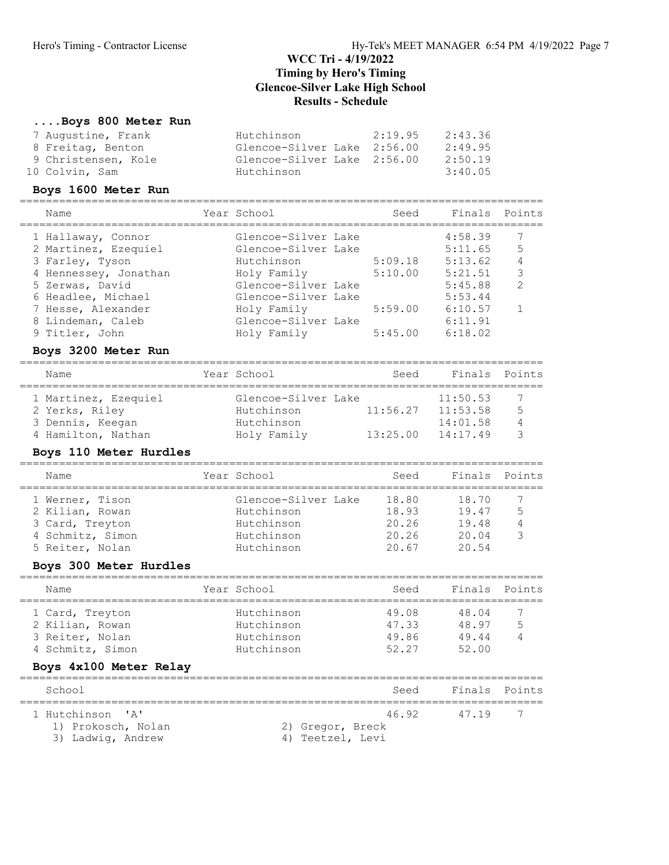#### ....Boys 800 Meter Run

| 7 Augustine, Frank<br>Hutchinson<br>2:19.95        | 2:43.36 |
|----------------------------------------------------|---------|
| 8 Freitag, Benton<br>Glencoe-Silver Lake 2:56.00   | 2:49.95 |
| 9 Christensen, Kole<br>Glencoe-Silver Lake 2:56.00 | 2:50.19 |
| 10 Colvin, Sam<br>Hutchinson                       | 3:40.05 |

#### Boys 1600 Meter Run

================================================================================ Seed Finals Points

| Nallle                | IEAL DCHOOT         | beeu    | $1 + 114 + 5$ | POIILS        |
|-----------------------|---------------------|---------|---------------|---------------|
| 1 Hallaway, Connor    | Glencoe-Silver Lake |         | 4:58.39       |               |
| 2 Martinez, Ezequiel  | Glencoe-Silver Lake |         | 5:11.65       | 5             |
| 3 Farley, Tyson       | Hutchinson          | 5:09.18 | 5:13.62       | 4             |
| 4 Hennessey, Jonathan | Holy Family         | 5:10.00 | 5:21.51       | 3             |
| 5 Zerwas, David       | Glencoe-Silver Lake |         | 5:45.88       | $\mathcal{L}$ |
| 6 Headlee, Michael    | Glencoe-Silver Lake |         | 5:53.44       |               |
| 7 Hesse, Alexander    | Holy Family         | 5:59.00 | 6:10.57       |               |
| 8 Lindeman, Caleb     | Glencoe-Silver Lake |         | 6:11.91       |               |
| 9 Titler, John        | Holy Family         | 5:45.00 | 6:18.02       |               |
|                       |                     |         |               |               |

### Boys 3200 Meter Run

| Name                 | Year School         | Seed     | Finals Points |   |
|----------------------|---------------------|----------|---------------|---|
| 1 Martinez, Ezequiel | Glencoe-Silver Lake |          | 11:50.53      |   |
| 2 Yerks, Riley       | Hutchinson          | 11:56.27 | 11:53.58      | 5 |
| 3 Dennis, Keegan     | Hutchinson          |          | 14:01.58      |   |
| 4 Hamilton, Nathan   | Holy Family         | 13:25.00 | 14:17.49      |   |

#### Boys 110 Meter Hurdles

| Name             | Year School         | Seed  | Finals Points |   |
|------------------|---------------------|-------|---------------|---|
| 1 Werner, Tison  | Glencoe-Silver Lake | 18.80 | 18.70         |   |
| 2 Kilian, Rowan  | Hutchinson          | 18.93 | 19.47         | 5 |
| 3 Card, Treyton  | Hutchinson          | 20.26 | 19.48         |   |
| 4 Schmitz, Simon | Hutchinson          | 20.26 | 20.04         |   |
| 5 Reiter, Nolan  | Hutchinson          | 20.67 | 20.54         |   |
|                  |                     |       |               |   |

### Boys 300 Meter Hurdles

| Name             | Year School | Seed  | Finals Points |   |
|------------------|-------------|-------|---------------|---|
| 1 Card, Treyton  | Hutchinson  | 49.08 | 48.04         |   |
| 2 Kilian, Rowan  | Hutchinson  | 47.33 | 48.97         | 5 |
| 3 Reiter, Nolan  | Hutchinson  | 49.86 | 49.44         |   |
| 4 Schmitz, Simon | Hutchinson  | 52.27 | 52.00         |   |

### Boys 4x100 Meter Relay

| School                                 | Seed                      | Finals Points |   |
|----------------------------------------|---------------------------|---------------|---|
| 1 Hutchinson 'A'<br>1) Prokosch, Nolan | 46.92<br>2) Gregor, Breck | 47.19         | 7 |
| 3) Ladwig, Andrew                      | 4) Teetzel, Levi          |               |   |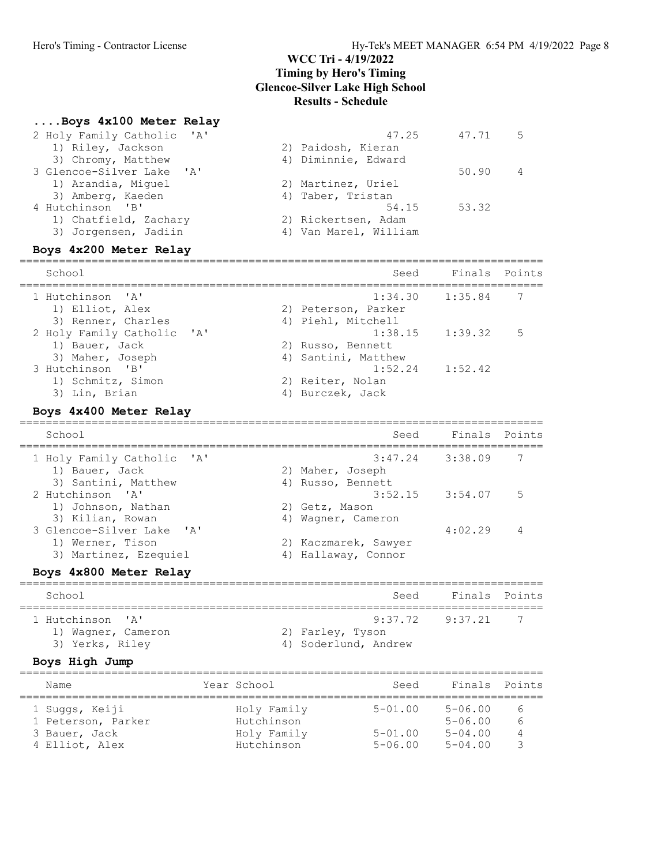#### ....Boys 4x100 Meter Relay

| 2 Holy Family Catholic 'A' | 47.25                 | 47.71 | 5 |
|----------------------------|-----------------------|-------|---|
| 1) Riley, Jackson          | 2) Paidosh, Kieran    |       |   |
| 3) Chromy, Matthew         | 4) Diminnie, Edward   |       |   |
| 3 Glencoe-Silver Lake 'A'  |                       | 50.90 | 4 |
| 1) Arandia, Miguel         | 2) Martinez, Uriel    |       |   |
| 3) Amberg, Kaeden          | 4) Taber, Tristan     |       |   |
| 4 Hutchinson 'B'           | 54.15                 | 53.32 |   |
| 1) Chatfield, Zachary      | 2) Rickertsen, Adam   |       |   |
| 3) Jorgensen, Jadiin       | 4) Van Marel, William |       |   |
| Boys 4x200 Meter Relay     |                       |       |   |
|                            |                       |       |   |

================================================================================ School Seed Finals Points ================================================================================ 1 Hutchinson 'A' 1:34.30 1:35.84 7 1) Elliot, Alex 2) Peterson, Parker 3) Renner, Charles (4) Piehl, Mitchell 2 Holy Family Catholic 'A' 1:38.15 1:39.32 5 1) Bauer, Jack 2) Russo, Bennett 3) Maher, Joseph 4) Santini, Matthew 3 Hutchinson 'B' 1:52.24 1:52.42 1) Schmitz, Simon 2) Reiter, Nolan 3) Lin, Brian (4) Burczek, Jack Boys 4x400 Meter Relay

### ================================================================================ School School Seed Finals Points ================================================================================ 1 Holy Family Catholic 'A' 3:47.24 3:38.09 7 1) Bauer, Jack 2) Maher, Joseph 3) Santini, Matthew 4) Russo, Bennett 2 Hutchinson 'A' 3:52.15 3:54.07 5 1) Johnson, Nathan 2) Getz, Mason 3) Kilian, Rowan 1988 Magner, Cameron 3 Glencoe-Silver Lake 'A' 4:02.29 4 1) Werner, Tison 2) Kaczmarek, Sawyer 3) Martinez, Ezequiel (4) Hallaway, Connor

#### Boys 4x800 Meter Relay

| School                                                    | Seed                                                            | Finals Points  |
|-----------------------------------------------------------|-----------------------------------------------------------------|----------------|
| 1 Hutchinson 'A'<br>1) Wagner, Cameron<br>3) Yerks, Riley | $9:37.72$ $9:37.21$<br>2) Farley, Tyson<br>4) Soderlund, Andrew | $\overline{7}$ |

#### Boys High Jump

| Name                                                                    | Year School                                            | Seed                                      | Finals Points                                            |             |
|-------------------------------------------------------------------------|--------------------------------------------------------|-------------------------------------------|----------------------------------------------------------|-------------|
| 1 Suggs, Keiji<br>1 Peterson, Parker<br>3 Bauer, Jack<br>4 Elliot, Alex | Holy Family<br>Hutchinson<br>Holy Family<br>Hutchinson | $5 - 01.00$<br>$5 - 01.00$<br>$5 - 06.00$ | $5 - 06.00$<br>$5 - 06.00$<br>$5 - 04.00$<br>$5 - 04.00$ | 6<br>6<br>4 |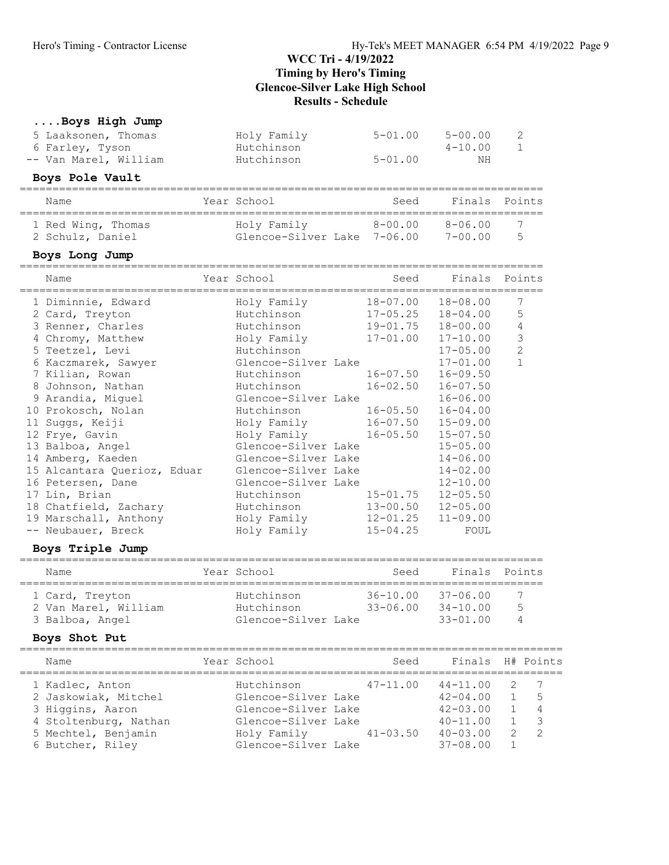# ....Boys High Jump

| 5 Laaksonen, Thomas<br>6 Farley, Tyson<br>-- Van Marel, William                                                                                                                                                                                                                                                                                                                                                                                             |             | Holy Family<br>Hutchinson<br>Hutchinson                                                                                                                                                                                                                                                                                                          | $5 - 01.00$<br>$5 - 01.00$                                                                                                                                                                               | $5 - 00.00$<br>$4 - 10.00$<br>ΝH                                                                                                                                                                                                                                                                                     | 2<br>$\mathbf{1}$                                  |
|-------------------------------------------------------------------------------------------------------------------------------------------------------------------------------------------------------------------------------------------------------------------------------------------------------------------------------------------------------------------------------------------------------------------------------------------------------------|-------------|--------------------------------------------------------------------------------------------------------------------------------------------------------------------------------------------------------------------------------------------------------------------------------------------------------------------------------------------------|----------------------------------------------------------------------------------------------------------------------------------------------------------------------------------------------------------|----------------------------------------------------------------------------------------------------------------------------------------------------------------------------------------------------------------------------------------------------------------------------------------------------------------------|----------------------------------------------------|
| Boys Pole Vault                                                                                                                                                                                                                                                                                                                                                                                                                                             |             |                                                                                                                                                                                                                                                                                                                                                  |                                                                                                                                                                                                          |                                                                                                                                                                                                                                                                                                                      |                                                    |
| Name                                                                                                                                                                                                                                                                                                                                                                                                                                                        | =========== | Year School                                                                                                                                                                                                                                                                                                                                      | Seed                                                                                                                                                                                                     | $=$ $=$ $=$ $=$                                                                                                                                                                                                                                                                                                      | Finals Points                                      |
| 1 Red Wing, Thomas<br>2 Schulz, Daniel                                                                                                                                                                                                                                                                                                                                                                                                                      |             | Holy Family<br>Glencoe-Silver Lake 7-06.00 7-00.00                                                                                                                                                                                                                                                                                               |                                                                                                                                                                                                          | $8 - 00.00$ $8 - 06.00$                                                                                                                                                                                                                                                                                              | 7<br>5                                             |
| Boys Long Jump                                                                                                                                                                                                                                                                                                                                                                                                                                              |             |                                                                                                                                                                                                                                                                                                                                                  |                                                                                                                                                                                                          |                                                                                                                                                                                                                                                                                                                      |                                                    |
| Name                                                                                                                                                                                                                                                                                                                                                                                                                                                        |             | Year School                                                                                                                                                                                                                                                                                                                                      | Seed                                                                                                                                                                                                     | Finals<br>========                                                                                                                                                                                                                                                                                                   | Points                                             |
| 1 Diminnie, Edward<br>2 Card, Treyton<br>3 Renner, Charles<br>4 Chromy, Matthew<br>5 Teetzel, Levi<br>6 Kaczmarek, Sawyer<br>7 Kilian, Rowan<br>8 Johnson, Nathan<br>9 Arandia, Miguel<br>10 Prokosch, Nolan<br>11 Suggs, Keiji<br>12 Frye, Gavin<br>13 Balboa, Angel<br>14 Amberg, Kaeden<br>15 Alcantara Querioz, Eduar<br>16 Petersen, Dane<br>17 Lin, Brian<br>18 Chatfield, Zachary<br>19 Marschall, Anthony<br>-- Neubauer, Breck<br>Boys Triple Jump |             | Holy Family<br>Hutchinson<br>Hutchinson<br>Holy Family<br>Hutchinson<br>Glencoe-Silver Lake<br>Hutchinson<br>Hutchinson<br>Glencoe-Silver Lake<br>Hutchinson<br>Holy Family<br>Holy Family<br>Glencoe-Silver Lake<br>Glencoe-Silver Lake<br>Glencoe-Silver Lake<br>Glencoe-Silver Lake<br>Hutchinson<br>Hutchinson<br>Holy Family<br>Holy Family | 18-07.00<br>$17 - 05.25$<br>$19 - 01.75$<br>$17 - 01.00$<br>$16 - 07.50$<br>$16 - 02.50$<br>$16 - 05.50$<br>$16 - 07.50$<br>$16 - 05.50$<br>$15 - 01.75$<br>$13 - 00.50$<br>$12 - 01.25$<br>$15 - 04.25$ | $18 - 08.00$<br>$18 - 04.00$<br>$18 - 00.00$<br>$17 - 10.00$<br>$17 - 05.00$<br>$17 - 01.00$<br>$16 - 09.50$<br>$16 - 07.50$<br>$16 - 06.00$<br>$16 - 04.00$<br>$15 - 09.00$<br>$15 - 07.50$<br>$15 - 05.00$<br>$14 - 06.00$<br>$14 - 02.00$<br>$12 - 10.00$<br>$12 - 05.50$<br>$12 - 05.00$<br>$11 - 09.00$<br>FOUL | 7<br>5<br>4<br>3<br>$\overline{2}$<br>$\mathbf{1}$ |
| ==============<br>Nam≏                                                                                                                                                                                                                                                                                                                                                                                                                                      |             | =======================<br>Year School                                                                                                                                                                                                                                                                                                           |                                                                                                                                                                                                          | Saad Finale Pointe                                                                                                                                                                                                                                                                                                   |                                                    |

| Name                 | Year School         | Seed         | Finals Points |   |
|----------------------|---------------------|--------------|---------------|---|
| 1 Card, Treyton      | Hutchinson          | 36-10.00     | 37-06.00      | 7 |
| 2 Van Marel, William | Hutchinson          | $33 - 06.00$ | $34 - 10.00$  | 5 |
| 3 Balboa, Angel      | Glencoe-Silver Lake |              | $33 - 01.00$  |   |

### Boys Shot Put

| Name                  | Year School              | Seed         | Finals H# Points |                |                |
|-----------------------|--------------------------|--------------|------------------|----------------|----------------|
|                       |                          |              |                  |                |                |
| 1 Kadlec, Anton       | Hutchinson               | $47 - 11.00$ | $44 - 11.00$     | $\overline{2}$ | - 7            |
| 2 Jaskowiak, Mitchel  | Glencoe-Silver Lake      |              | $42 - 04.00$     |                | - 5            |
| 3 Higgins, Aaron      | Glencoe-Silver Lake      |              | $42 - 03.00$     |                | $\overline{4}$ |
| 4 Stoltenburg, Nathan | Glencoe-Silver Lake      |              | $40 - 11.00$     |                |                |
| 5 Mechtel, Benjamin   | $Holy$ Family $41-03.50$ |              | $40 - 03.00$     | $\mathcal{L}$  | $\overline{2}$ |
| 6 Butcher, Riley      | Glencoe-Silver Lake      |              | $37 - 08.00$     |                |                |